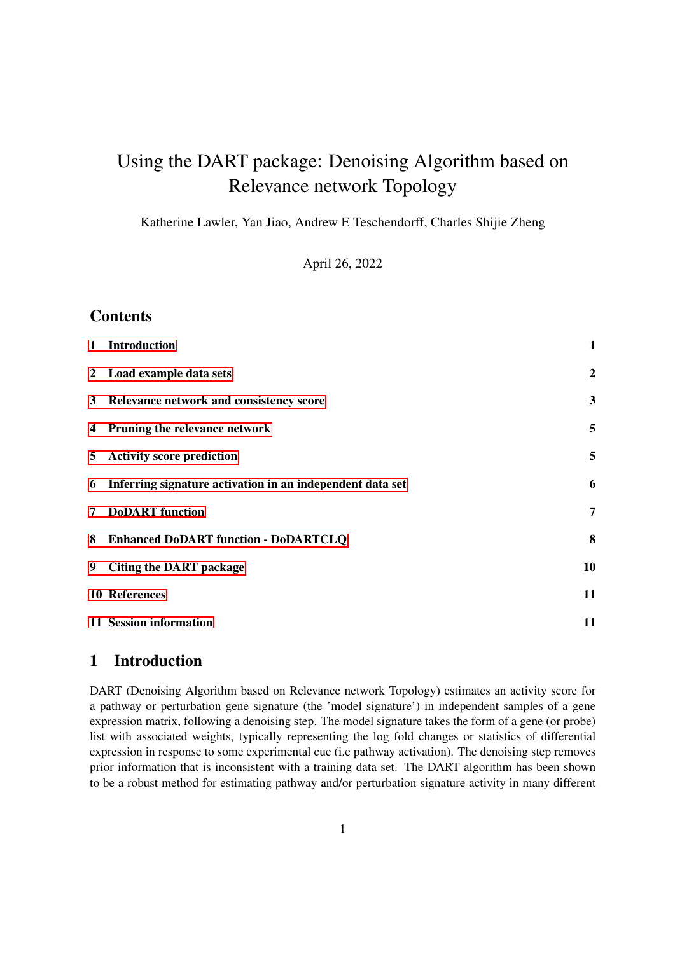# Using the DART package: Denoising Algorithm based on Relevance network Topology

Katherine Lawler, Yan Jiao, Andrew E Teschendorff, Charles Shijie Zheng

April 26, 2022

## **Contents**

| $\mathbf{1}$ | <b>Introduction</b>                                       | $\mathbf{1}$     |
|--------------|-----------------------------------------------------------|------------------|
|              | 2 Load example data sets                                  | $\boldsymbol{2}$ |
|              | 3 Relevance network and consistency score                 | 3                |
|              | 4 Pruning the relevance network                           | 5                |
| 5            | <b>Activity score prediction</b>                          | 5                |
| 6            | Inferring signature activation in an independent data set | 6                |
| 7            | <b>DoDART</b> function                                    | 7                |
| 8            | <b>Enhanced DoDART function - DoDARTCLQ</b>               | 8                |
| 9            | <b>Citing the DART package</b>                            | 10               |
|              | <b>10 References</b>                                      | 11               |
|              | 11 Session information                                    | 11               |

## <span id="page-0-0"></span>1 Introduction

DART (Denoising Algorithm based on Relevance network Topology) estimates an activity score for a pathway or perturbation gene signature (the 'model signature') in independent samples of a gene expression matrix, following a denoising step. The model signature takes the form of a gene (or probe) list with associated weights, typically representing the log fold changes or statistics of differential expression in response to some experimental cue (i.e pathway activation). The denoising step removes prior information that is inconsistent with a training data set. The DART algorithm has been shown to be a robust method for estimating pathway and/or perturbation signature activity in many different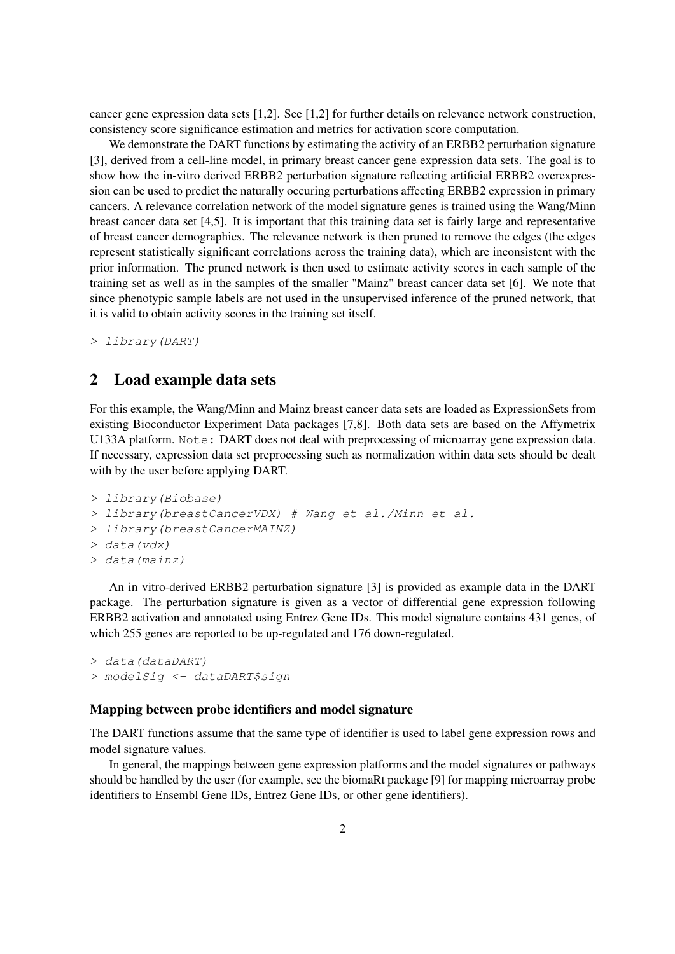cancer gene expression data sets [1,2]. See [1,2] for further details on relevance network construction, consistency score significance estimation and metrics for activation score computation.

We demonstrate the DART functions by estimating the activity of an ERBB2 perturbation signature [3], derived from a cell-line model, in primary breast cancer gene expression data sets. The goal is to show how the in-vitro derived ERBB2 perturbation signature reflecting artificial ERBB2 overexpression can be used to predict the naturally occuring perturbations affecting ERBB2 expression in primary cancers. A relevance correlation network of the model signature genes is trained using the Wang/Minn breast cancer data set [4,5]. It is important that this training data set is fairly large and representative of breast cancer demographics. The relevance network is then pruned to remove the edges (the edges represent statistically significant correlations across the training data), which are inconsistent with the prior information. The pruned network is then used to estimate activity scores in each sample of the training set as well as in the samples of the smaller "Mainz" breast cancer data set [6]. We note that since phenotypic sample labels are not used in the unsupervised inference of the pruned network, that it is valid to obtain activity scores in the training set itself.

> library(DART)

### <span id="page-1-0"></span>2 Load example data sets

For this example, the Wang/Minn and Mainz breast cancer data sets are loaded as ExpressionSets from existing Bioconductor Experiment Data packages [7,8]. Both data sets are based on the Affymetrix U133A platform. Note: DART does not deal with preprocessing of microarray gene expression data. If necessary, expression data set preprocessing such as normalization within data sets should be dealt with by the user before applying DART.

```
> library(Biobase)
> library(breastCancerVDX) # Wang et al./Minn et al.
> library(breastCancerMAINZ)
> data(vdx)
> data(mainz)
```
An in vitro-derived ERBB2 perturbation signature [3] is provided as example data in the DART package. The perturbation signature is given as a vector of differential gene expression following ERBB2 activation and annotated using Entrez Gene IDs. This model signature contains 431 genes, of which 255 genes are reported to be up-regulated and 176 down-regulated.

```
> data(dataDART)
> modelSig <- dataDART$sign
```
#### Mapping between probe identifiers and model signature

The DART functions assume that the same type of identifier is used to label gene expression rows and model signature values.

In general, the mappings between gene expression platforms and the model signatures or pathways should be handled by the user (for example, see the biomaRt package [9] for mapping microarray probe identifiers to Ensembl Gene IDs, Entrez Gene IDs, or other gene identifiers).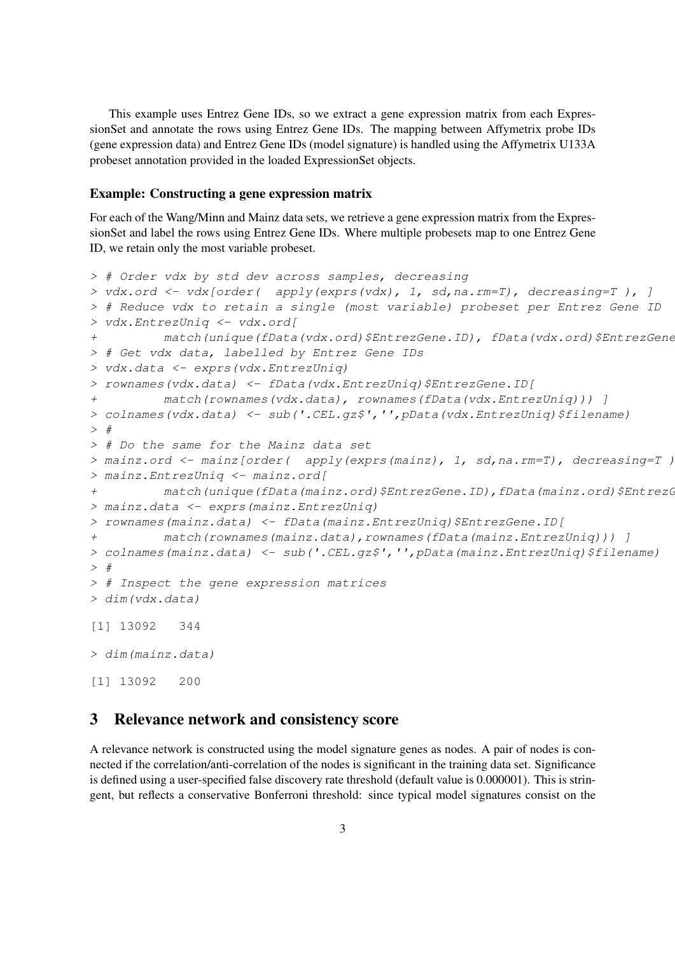This example uses Entrez Gene IDs, so we extract a gene expression matrix from each ExpressionSet and annotate the rows using Entrez Gene IDs. The mapping between Affymetrix probe IDs (gene expression data) and Entrez Gene IDs (model signature) is handled using the Affymetrix U133A probeset annotation provided in the loaded ExpressionSet objects.

#### Example: Constructing a gene expression matrix

For each of the Wang/Minn and Mainz data sets, we retrieve a gene expression matrix from the ExpressionSet and label the rows using Entrez Gene IDs. Where multiple probesets map to one Entrez Gene ID, we retain only the most variable probeset.

```
> # Order vdx by std dev across samples, decreasing
> vdx.ord \leftarrow vdx[order( apply(exprs(vdx), 1, sd,na.cm=T), decreasing=T), ]> # Reduce vdx to retain a single (most variable) probeset per Entrez Gene ID
> vdx.EntrezUniq <- vdx.ord[
+ match(unique(fData(vdx.ord)$EntrezGene.ID), fData(vdx.ord)$EntrezGene
> # Get vdx data, labelled by Entrez Gene IDs
> vdx.data <- exprs(vdx.EntrezUniq)
> rownames(vdx.data) <- fData(vdx.EntrezUniq)$EntrezGene.ID[
+ match(rownames(vdx.data), rownames(fData(vdx.EntrezUniq))) ]
> colnames(vdx.data) <- sub('.CEL.gz$','',pData(vdx.EntrezUniq)$filename)
>#
> # Do the same for the Mainz data set
> mainz.ord <- mainz[order( apply(exprs(mainz), 1, sd,na.rm=T), decreasing=T)
> mainz.EntrezUniq <- mainz.ord[
+ match(unique(fData(mainz.ord)$EntrezGene.ID),fData(mainz.ord)$EntrezG
> mainz.data <- exprs(mainz.EntrezUniq)
> rownames(mainz.data) <- fData(mainz.EntrezUniq)$EntrezGene.ID[
+ match(rownames(mainz.data),rownames(fData(mainz.EntrezUniq))) ]
> colnames(mainz.data) <- sub('.CEL.gz$','',pData(mainz.EntrezUniq)$filename)
> #
> # Inspect the gene expression matrices
> dim(vdx.data)
[1] 13092 344
> dim(mainz.data)
[1] 13092 200
```
#### <span id="page-2-0"></span>3 Relevance network and consistency score

A relevance network is constructed using the model signature genes as nodes. A pair of nodes is connected if the correlation/anti-correlation of the nodes is significant in the training data set. Significance is defined using a user-specified false discovery rate threshold (default value is 0.000001). This is stringent, but reflects a conservative Bonferroni threshold: since typical model signatures consist on the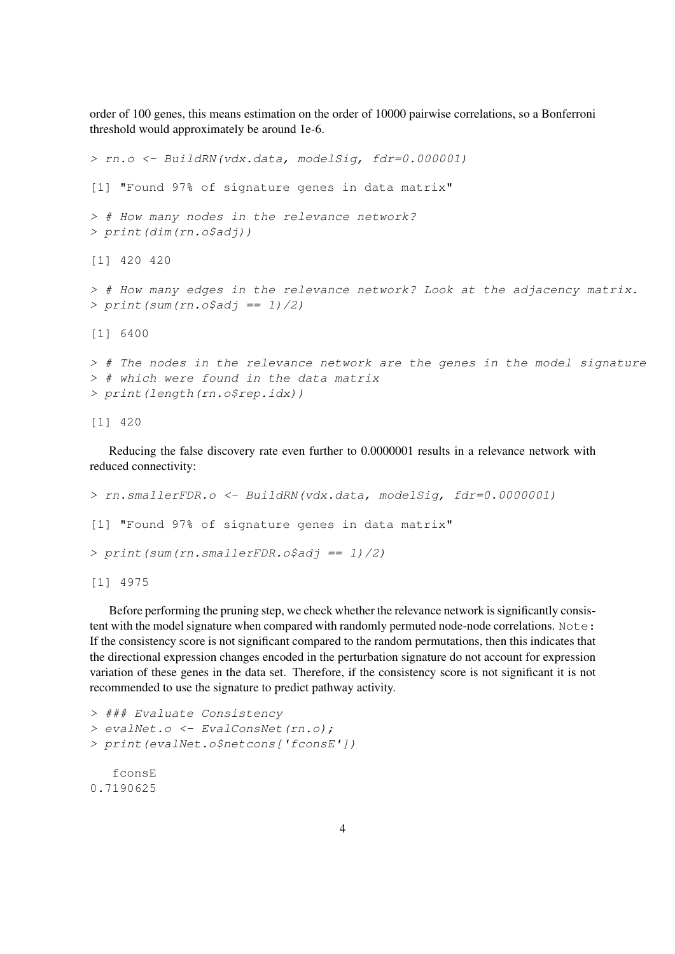order of 100 genes, this means estimation on the order of 10000 pairwise correlations, so a Bonferroni threshold would approximately be around 1e-6.

```
> rn.o <- BuildRN(vdx.data, modelSig, fdr=0.000001)
[1] "Found 97% of signature genes in data matrix"
> # How many nodes in the relevance network?
> print(dim(rn.o$adj))
[1] 420 420
> # How many edges in the relevance network? Look at the adjacency matrix.
> print (sum (rn. o$adj == 1)/2)
[1] 6400
> # The nodes in the relevance network are the genes in the model signature
> # which were found in the data matrix
> print(length(rn.o$rep.idx))
```
[1] 420

Reducing the false discovery rate even further to 0.0000001 results in a relevance network with reduced connectivity:

```
> rn.smallerFDR.o <- BuildRN(vdx.data, modelSig, fdr=0.0000001)
[1] "Found 97% of signature genes in data matrix"
> print (sum (rn. smallerFDR. o$adj == 1)/2)
```
[1] 4975

Before performing the pruning step, we check whether the relevance network is significantly consistent with the model signature when compared with randomly permuted node-node correlations. Note: If the consistency score is not significant compared to the random permutations, then this indicates that the directional expression changes encoded in the perturbation signature do not account for expression variation of these genes in the data set. Therefore, if the consistency score is not significant it is not recommended to use the signature to predict pathway activity.

```
> ### Evaluate Consistency
> evalNet.o <- EvalConsNet(rn.o);
> print(evalNet.o$netcons['fconsE'])
   fconsE
0.7190625
```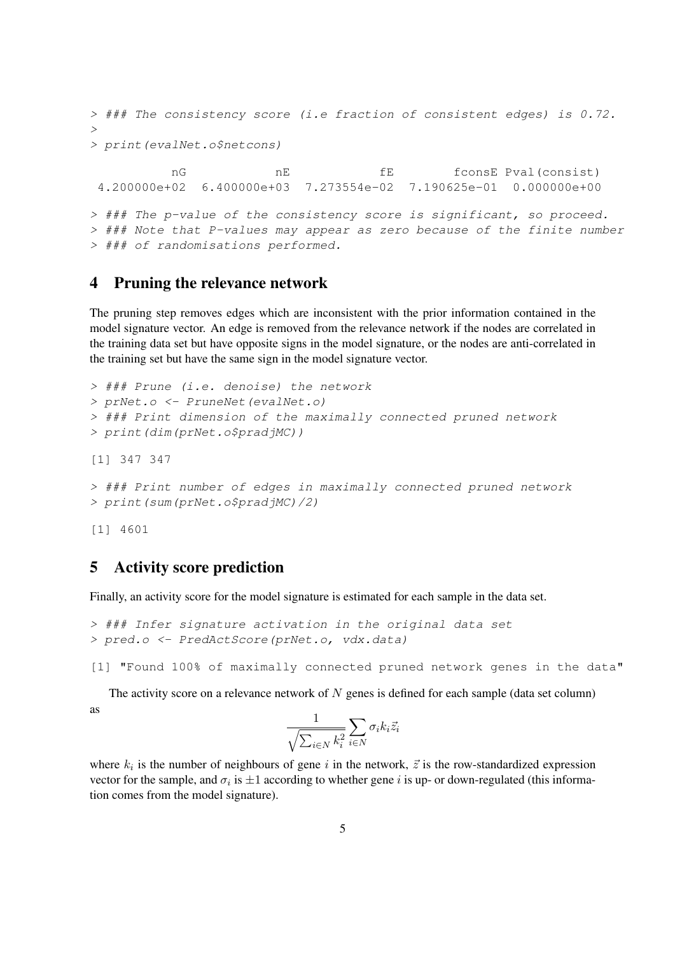```
> ### The consistency score (i.e fraction of consistent edges) is 0.72.
>
> print(evalNet.o$netcons)
          nG nE fE fconsE Pval(consist)
4.200000e+02 6.400000e+03 7.273554e-02 7.190625e-01 0.000000e+00
> ### The p-value of the consistency score is significant, so proceed.
> ### Note that P-values may appear as zero because of the finite number
> ### of randomisations performed.
```
#### <span id="page-4-0"></span>4 Pruning the relevance network

The pruning step removes edges which are inconsistent with the prior information contained in the model signature vector. An edge is removed from the relevance network if the nodes are correlated in the training data set but have opposite signs in the model signature, or the nodes are anti-correlated in the training set but have the same sign in the model signature vector.

```
> ### Prune (i.e. denoise) the network
> prNet.o <- PruneNet(evalNet.o)
> ### Print dimension of the maximally connected pruned network
> print(dim(prNet.o$pradjMC))
[1] 347 347
> ### Print number of edges in maximally connected pruned network
> print(sum(prNet.o$pradjMC)/2)
```
[1] 4601

#### <span id="page-4-1"></span>5 Activity score prediction

Finally, an activity score for the model signature is estimated for each sample in the data set.

```
> ### Infer signature activation in the original data set
> pred.o <- PredActScore(prNet.o, vdx.data)
```
[1] "Found 100% of maximally connected pruned network genes in the data"

The activity score on a relevance network of  $N$  genes is defined for each sample (data set column) as

$$
\frac{1}{\sqrt{\sum_{i\in N}k_i^2}}\sum_{i\in N}\sigma_ik_i\vec{z}_i
$$

where  $k_i$  is the number of neighbours of gene i in the network,  $\vec{z}$  is the row-standardized expression vector for the sample, and  $\sigma_i$  is  $\pm 1$  according to whether gene i is up- or down-regulated (this information comes from the model signature).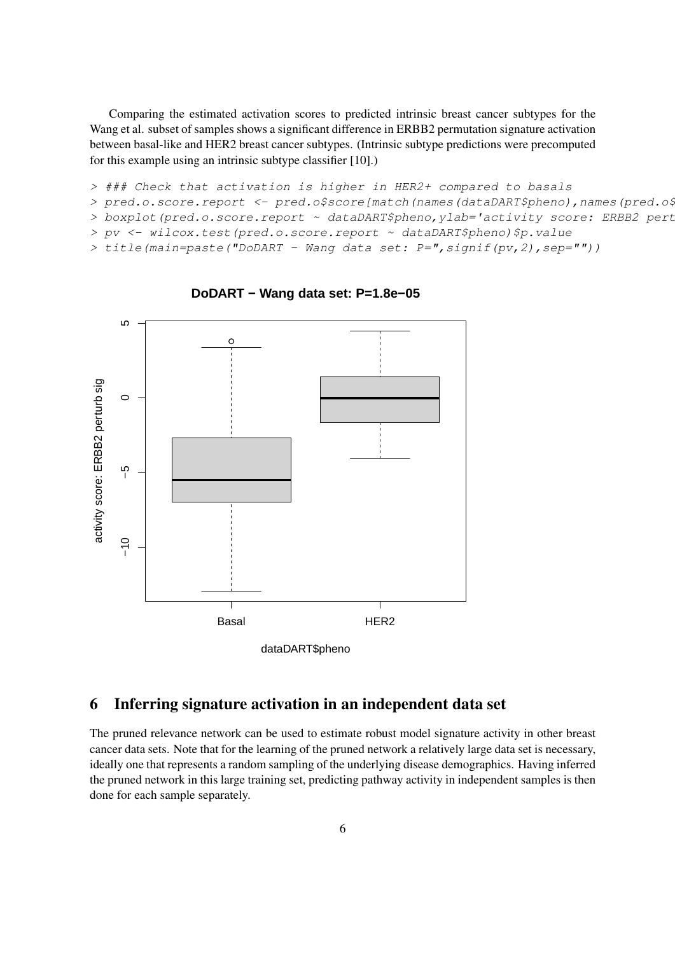Comparing the estimated activation scores to predicted intrinsic breast cancer subtypes for the Wang et al. subset of samples shows a significant difference in ERBB2 permutation signature activation between basal-like and HER2 breast cancer subtypes. (Intrinsic subtype predictions were precomputed for this example using an intrinsic subtype classifier [10].)

> ### Check that activation is higher in HER2+ compared to basals

> pred.o.score.report <- pred.o\$score[match(names(dataDART\$pheno),names(pred.o\$

> boxplot(pred.o.score.report ~ dataDART\$pheno, ylab='activity score: ERBB2 pert

> pv <- wilcox.test(pred.o.score.report ~ dataDART\$pheno)\$p.value

> title(main=paste("DoDART - Wang data set: P=",signif(pv,2),sep=""))



**DoDART − Wang data set: P=1.8e−05**

### <span id="page-5-0"></span>6 Inferring signature activation in an independent data set

The pruned relevance network can be used to estimate robust model signature activity in other breast cancer data sets. Note that for the learning of the pruned network a relatively large data set is necessary, ideally one that represents a random sampling of the underlying disease demographics. Having inferred the pruned network in this large training set, predicting pathway activity in independent samples is then done for each sample separately.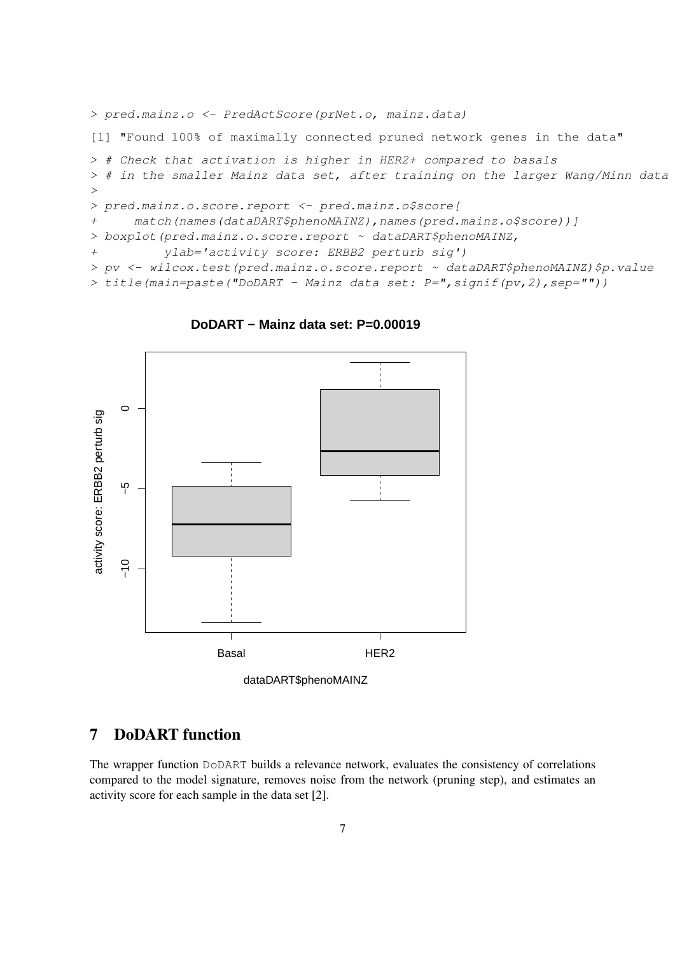```
> pred.mainz.o <- PredActScore(prNet.o, mainz.data)
[1] "Found 100% of maximally connected pruned network genes in the data"
> # Check that activation is higher in HER2+ compared to basals
> # in the smaller Mainz data set, after training on the larger Wang/Minn data
>
> pred.mainz.o.score.report <- pred.mainz.o$score[
+ match(names(dataDART$phenoMAINZ),names(pred.mainz.o$score))]
> boxplot(pred.mainz.o.score.report ~ dataDART$phenoMAINZ,
+ ylab='activity score: ERBB2 perturb sig')
> pv <- wilcox.test(pred.mainz.o.score.report ~ dataDART$phenoMAINZ)$p.value
> title(main=paste("DoDART - Mainz data set: P = ", signif(pv, 2), sep=""))
```
 $\Omega$ activity score: ERBB2 perturb sig activity score: ERBB2 perturb sig ပှိ −5<br>−10  $-10$ Basal HER2

**DoDART − Mainz data set: P=0.00019**



## <span id="page-6-0"></span>7 DoDART function

The wrapper function DoDART builds a relevance network, evaluates the consistency of correlations compared to the model signature, removes noise from the network (pruning step), and estimates an activity score for each sample in the data set [2].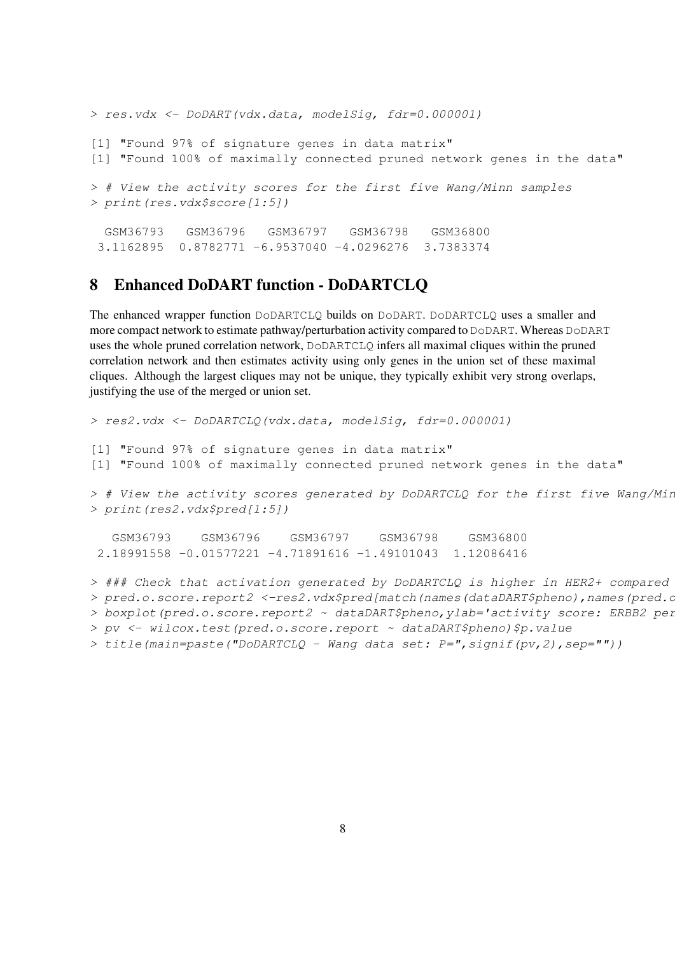```
> res.vdx <- DoDART(vdx.data, modelSig, fdr=0.000001)
[1] "Found 97% of signature genes in data matrix"
[1] "Found 100% of maximally connected pruned network genes in the data"
> # View the activity scores for the first five Wang/Minn samples
> print(res.vdx$score[1:5])
 GSM36793 GSM36796 GSM36797 GSM36798 GSM36800
 3.1162895 0.8782771 -6.9537040 -4.0296276 3.7383374
```
#### <span id="page-7-0"></span>8 Enhanced DoDART function - DoDARTCLQ

The enhanced wrapper function DoDARTCLQ builds on DoDART. DoDARTCLQ uses a smaller and more compact network to estimate pathway/perturbation activity compared to DoDART. Whereas DoDART uses the whole pruned correlation network, DoDARTCLQ infers all maximal cliques within the pruned correlation network and then estimates activity using only genes in the union set of these maximal cliques. Although the largest cliques may not be unique, they typically exhibit very strong overlaps, justifying the use of the merged or union set.

```
> res2.vdx <- DoDARTCLQ(vdx.data, modelSig, fdr=0.000001)
[1] "Found 97% of signature genes in data matrix"
[1] "Found 100% of maximally connected pruned network genes in the data"
> # View the activity scores generated by DoDARTCLQ for the first five Wang/Min
> print(res2.vdx$pred[1:5])
   GSM36793 GSM36796 GSM36797 GSM36798 GSM36800
 2.18991558 - 0.01577221 - 4.71891616 - 1.49101043 1.12086416
> ### Check that activation generated by DoDARTCLQ is higher in HER2+ compared
> pred.o.score.report2 <-res2.vdx$pred[match(names(dataDART$pheno),names(pred.o
> boxplot(pred.o.score.report2 ~ dataDART$pheno, ylab='activity score: ERBB2 per
> pv <- wilcox.test(pred.o.score.report ~ dataDART$pheno)$p.value
> title(main=paste("DoDARTCLQ - Wang data set: P=",signif(pv,2),sep=""))
```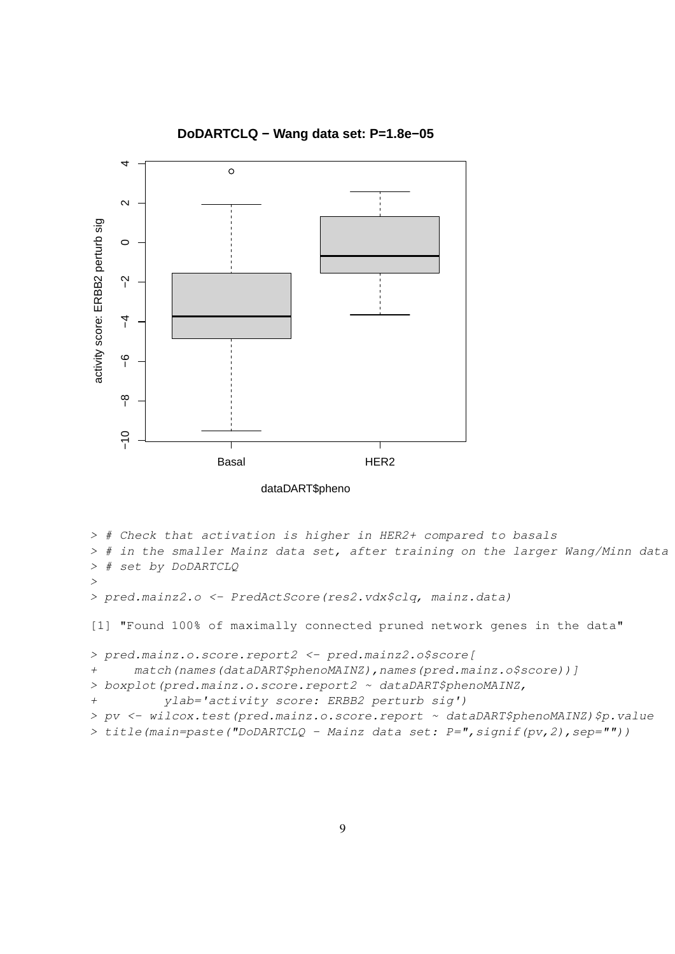

**DoDARTCLQ − Wang data set: P=1.8e−05**

```
dataDART$pheno
```

```
> # Check that activation is higher in HER2+ compared to basals
> # in the smaller Mainz data set, after training on the larger Wang/Minn data
> # set by DoDARTCLQ
>
> pred.mainz2.o <- PredActScore(res2.vdx$clq, mainz.data)
[1] "Found 100% of maximally connected pruned network genes in the data"
> pred.mainz.o.score.report2 <- pred.mainz2.o$score[
+ match(names(dataDART$phenoMAINZ),names(pred.mainz.o$score))]
> boxplot(pred.mainz.o.score.report2 ~ dataDART$phenoMAINZ,
+ ylab='activity score: ERBB2 perturb sig')
> pv <- wilcox.test(pred.mainz.o.score.report ~ dataDART$phenoMAINZ)$p.value
> title(main=paste("DoDARTCLQ - Mainz data set: P=",signif(pv,2),sep=""))
```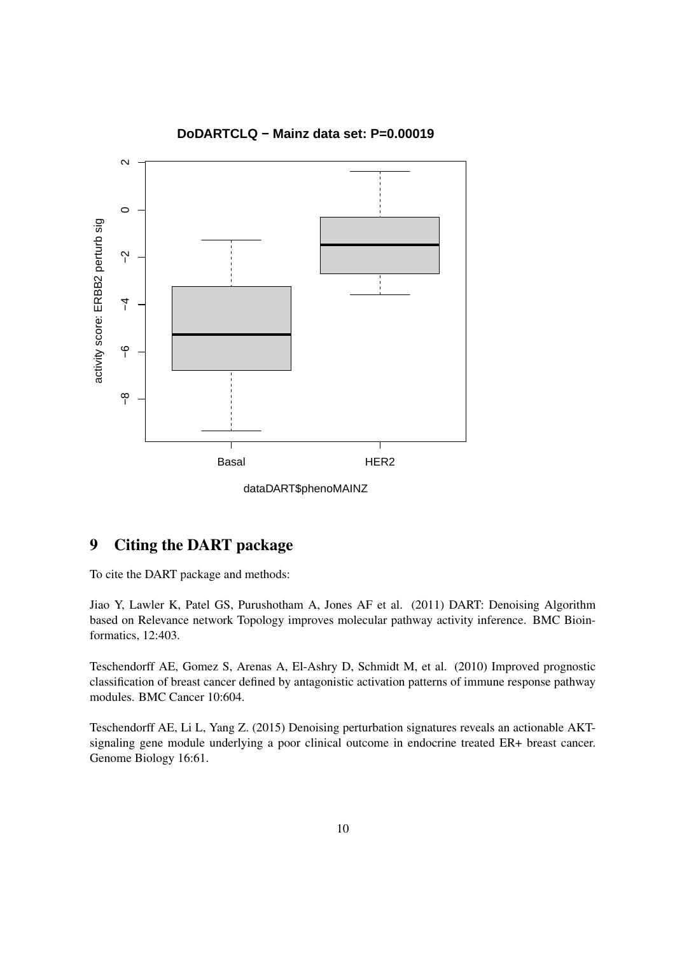

**DoDARTCLQ − Mainz data set: P=0.00019**

dataDART\$phenoMAINZ

# <span id="page-9-0"></span>9 Citing the DART package

To cite the DART package and methods:

Jiao Y, Lawler K, Patel GS, Purushotham A, Jones AF et al. (2011) DART: Denoising Algorithm based on Relevance network Topology improves molecular pathway activity inference. BMC Bioinformatics, 12:403.

Teschendorff AE, Gomez S, Arenas A, El-Ashry D, Schmidt M, et al. (2010) Improved prognostic classification of breast cancer defined by antagonistic activation patterns of immune response pathway modules. BMC Cancer 10:604.

Teschendorff AE, Li L, Yang Z. (2015) Denoising perturbation signatures reveals an actionable AKTsignaling gene module underlying a poor clinical outcome in endocrine treated ER+ breast cancer. Genome Biology 16:61.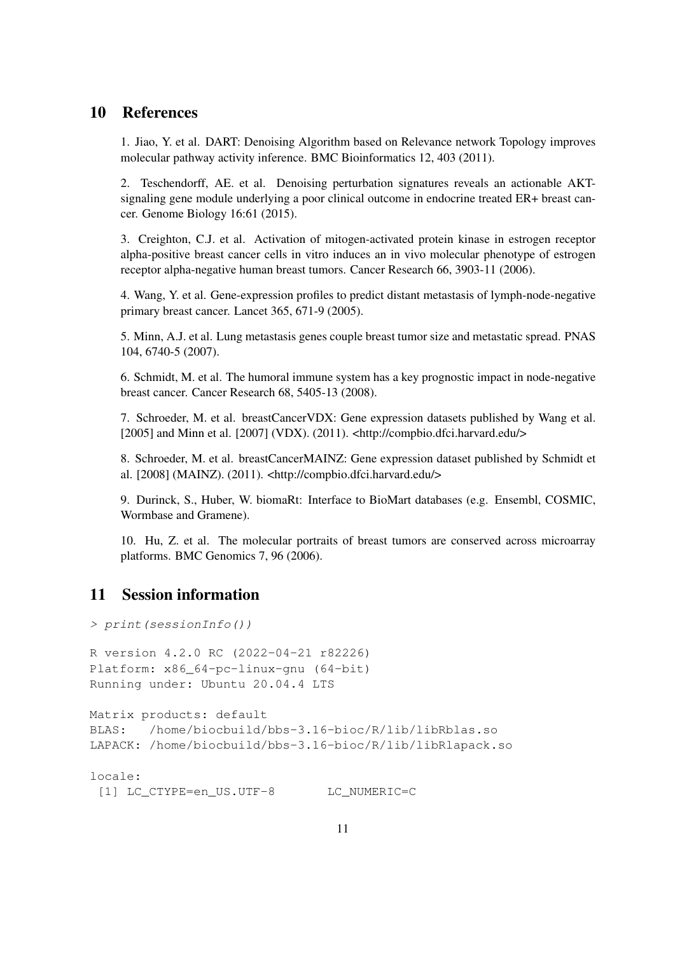#### <span id="page-10-0"></span>10 References

1. Jiao, Y. et al. DART: Denoising Algorithm based on Relevance network Topology improves molecular pathway activity inference. BMC Bioinformatics 12, 403 (2011).

2. Teschendorff, AE. et al. Denoising perturbation signatures reveals an actionable AKTsignaling gene module underlying a poor clinical outcome in endocrine treated ER+ breast cancer. Genome Biology 16:61 (2015).

3. Creighton, C.J. et al. Activation of mitogen-activated protein kinase in estrogen receptor alpha-positive breast cancer cells in vitro induces an in vivo molecular phenotype of estrogen receptor alpha-negative human breast tumors. Cancer Research 66, 3903-11 (2006).

4. Wang, Y. et al. Gene-expression profiles to predict distant metastasis of lymph-node-negative primary breast cancer. Lancet 365, 671-9 (2005).

5. Minn, A.J. et al. Lung metastasis genes couple breast tumor size and metastatic spread. PNAS 104, 6740-5 (2007).

6. Schmidt, M. et al. The humoral immune system has a key prognostic impact in node-negative breast cancer. Cancer Research 68, 5405-13 (2008).

7. Schroeder, M. et al. breastCancerVDX: Gene expression datasets published by Wang et al. [2005] and Minn et al. [2007] (VDX). (2011). <http://compbio.dfci.harvard.edu/>

8. Schroeder, M. et al. breastCancerMAINZ: Gene expression dataset published by Schmidt et al. [2008] (MAINZ). (2011). <http://compbio.dfci.harvard.edu/>

9. Durinck, S., Huber, W. biomaRt: Interface to BioMart databases (e.g. Ensembl, COSMIC, Wormbase and Gramene).

10. Hu, Z. et al. The molecular portraits of breast tumors are conserved across microarray platforms. BMC Genomics 7, 96 (2006).

# <span id="page-10-1"></span>11 Session information

> print(sessionInfo()) R version 4.2.0 RC (2022-04-21 r82226) Platform: x86\_64-pc-linux-gnu (64-bit) Running under: Ubuntu 20.04.4 LTS Matrix products: default BLAS: /home/biocbuild/bbs-3.16-bioc/R/lib/libRblas.so LAPACK: /home/biocbuild/bbs-3.16-bioc/R/lib/libRlapack.so locale:

[1] LC\_CTYPE=en\_US.UTF-8 LC\_NUMERIC=C